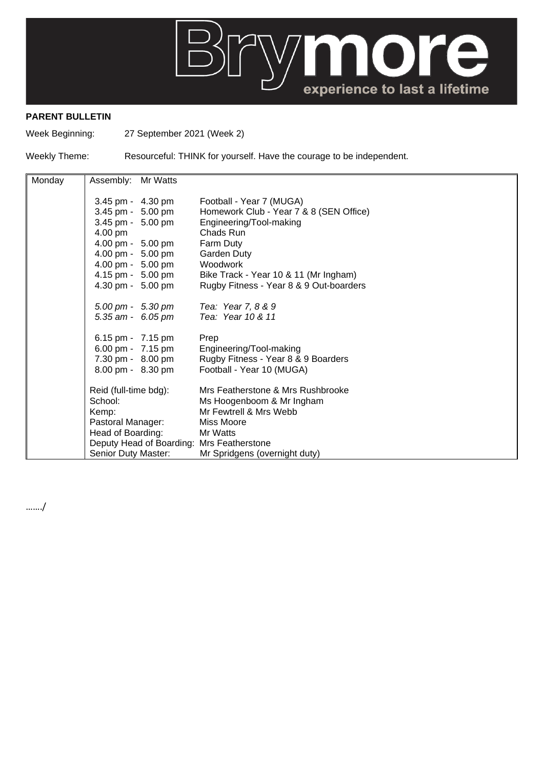

## **PARENT BULLETIN**

Week Beginning: 27 September 2021 (Week 2)

Weekly Theme: Resourceful: THINK for yourself. Have the courage to be independent.

| Monday | Assembly: Mr Watts                                                                                                               |  |                                         |
|--------|----------------------------------------------------------------------------------------------------------------------------------|--|-----------------------------------------|
|        | 3.45 pm - 4.30 pm                                                                                                                |  | Football - Year 7 (MUGA)                |
|        | 3.45 pm - 5.00 pm                                                                                                                |  | Homework Club - Year 7 & 8 (SEN Office) |
|        | 3.45 pm - 5.00 pm                                                                                                                |  | Engineering/Tool-making                 |
|        | 4.00 pm                                                                                                                          |  | Chads Run                               |
|        | 4.00 pm - 5.00 pm                                                                                                                |  | Farm Duty                               |
|        | 4.00 pm - 5.00 pm                                                                                                                |  | Garden Duty                             |
|        | 4.00 pm - 5.00 pm                                                                                                                |  | Woodwork                                |
|        | 4.15 pm - 5.00 pm                                                                                                                |  | Bike Track - Year 10 & 11 (Mr Ingham)   |
|        | 4.30 pm - 5.00 pm                                                                                                                |  | Rugby Fitness - Year 8 & 9 Out-boarders |
|        | $5.00 \text{ pm} - 5.30 \text{ pm}$                                                                                              |  | Tea: Year 7, 8 & 9                      |
|        | 5.35 am - 6.05 pm                                                                                                                |  | Tea: Year 10 & 11                       |
|        | 6.15 pm - 7.15 pm                                                                                                                |  | Prep                                    |
|        | 6.00 pm - 7.15 pm                                                                                                                |  | Engineering/Tool-making                 |
|        | 7.30 pm - 8.00 pm                                                                                                                |  | Rugby Fitness - Year 8 & 9 Boarders     |
|        | 8.00 pm - 8.30 pm                                                                                                                |  | Football - Year 10 (MUGA)               |
|        | Reid (full-time bdg):<br>School:<br>Kemp:<br>Pastoral Manager:<br>Head of Boarding:<br>Deputy Head of Boarding: Mrs Featherstone |  | Mrs Featherstone & Mrs Rushbrooke       |
|        |                                                                                                                                  |  | Ms Hoogenboom & Mr Ingham               |
|        |                                                                                                                                  |  | Mr Fewtrell & Mrs Webb                  |
|        |                                                                                                                                  |  | <b>Miss Moore</b>                       |
|        |                                                                                                                                  |  | Mr Watts                                |
|        |                                                                                                                                  |  |                                         |
|        | Senior Duty Master:                                                                                                              |  | Mr Spridgens (overnight duty)           |

……./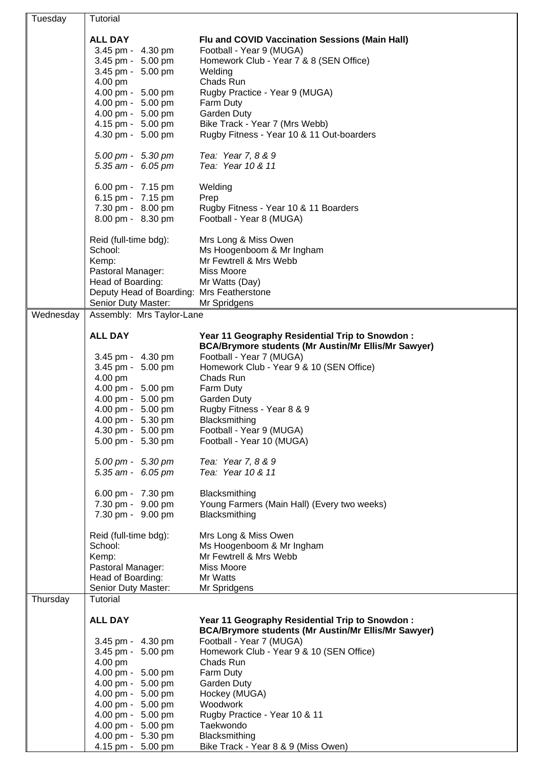| Tuesday   | Tutorial                                                       |                                                                                                               |
|-----------|----------------------------------------------------------------|---------------------------------------------------------------------------------------------------------------|
|           | <b>ALL DAY</b>                                                 | Flu and COVID Vaccination Sessions (Main Hall)                                                                |
|           | 3.45 pm - 4.30 pm                                              | Football - Year 9 (MUGA)                                                                                      |
|           | 3.45 pm - 5.00 pm                                              | Homework Club - Year 7 & 8 (SEN Office)                                                                       |
|           | 3.45 pm - 5.00 pm                                              | Welding                                                                                                       |
|           | 4.00 pm                                                        | Chads Run                                                                                                     |
|           | 4.00 pm - 5.00 pm                                              | Rugby Practice - Year 9 (MUGA)                                                                                |
|           | 4.00 pm - 5.00 pm                                              | Farm Duty                                                                                                     |
|           | 4.00 pm - 5.00 pm<br>4.15 pm - 5.00 pm                         | <b>Garden Duty</b><br>Bike Track - Year 7 (Mrs Webb)                                                          |
|           | 4.30 pm - 5.00 pm                                              | Rugby Fitness - Year 10 & 11 Out-boarders                                                                     |
|           |                                                                |                                                                                                               |
|           | 5.00 pm - 5.30 pm<br>5.35 am - 6.05 pm                         | Tea: Year 7, 8 & 9<br>Tea: Year 10 & 11                                                                       |
|           |                                                                |                                                                                                               |
|           | 6.00 pm - 7.15 pm                                              | Welding                                                                                                       |
|           | 6.15 pm - 7.15 pm                                              | Prep                                                                                                          |
|           | 7.30 pm - 8.00 pm<br>8.00 pm - 8.30 pm                         | Rugby Fitness - Year 10 & 11 Boarders<br>Football - Year 8 (MUGA)                                             |
|           |                                                                |                                                                                                               |
|           | Reid (full-time bdg):                                          | Mrs Long & Miss Owen                                                                                          |
|           | School:                                                        | Ms Hoogenboom & Mr Ingham                                                                                     |
|           | Kemp:                                                          | Mr Fewtrell & Mrs Webb                                                                                        |
|           | Pastoral Manager:                                              | Miss Moore                                                                                                    |
|           | Head of Boarding:<br>Deputy Head of Boarding: Mrs Featherstone | Mr Watts (Day)                                                                                                |
|           | Senior Duty Master:                                            | Mr Spridgens                                                                                                  |
| Wednesday | Assembly: Mrs Taylor-Lane                                      |                                                                                                               |
|           |                                                                |                                                                                                               |
|           | <b>ALL DAY</b>                                                 | Year 11 Geography Residential Trip to Snowdon :<br><b>BCA/Brymore students (Mr Austin/Mr Ellis/Mr Sawyer)</b> |
|           | 3.45 pm - 4.30 pm                                              | Football - Year 7 (MUGA)                                                                                      |
|           | 3.45 pm - 5.00 pm                                              | Homework Club - Year 9 & 10 (SEN Office)                                                                      |
|           | 4.00 pm                                                        | Chads Run                                                                                                     |
|           | 4.00 pm - 5.00 pm                                              | Farm Duty                                                                                                     |
|           | 4.00 pm - 5.00 pm                                              | Garden Duty                                                                                                   |
|           | 4.00 pm - 5.00 pm                                              | Rugby Fitness - Year 8 & 9                                                                                    |
|           | 4.00 pm - 5.30 pm<br>4.30 pm - 5.00 pm                         | Blacksmithing<br>Football - Year 9 (MUGA)                                                                     |
|           | 5.00 pm - 5.30 pm                                              | Football - Year 10 (MUGA)                                                                                     |
|           |                                                                |                                                                                                               |
|           | 5.00 pm - 5.30 pm<br>5.35 am - 6.05 pm                         | Tea: Year 7, 8 & 9<br>Tea: Year 10 & 11                                                                       |
|           |                                                                |                                                                                                               |
|           | 6.00 pm - 7.30 pm                                              | Blacksmithing                                                                                                 |
|           | 7.30 pm - 9.00 pm                                              | Young Farmers (Main Hall) (Every two weeks)                                                                   |
|           | 7.30 pm - 9.00 pm                                              | Blacksmithing                                                                                                 |
|           | Reid (full-time bdg):                                          | Mrs Long & Miss Owen                                                                                          |
|           | School:                                                        | Ms Hoogenboom & Mr Ingham                                                                                     |
|           | Kemp:                                                          | Mr Fewtrell & Mrs Webb                                                                                        |
|           | Pastoral Manager:                                              | Miss Moore                                                                                                    |
|           | Head of Boarding:<br>Senior Duty Master:                       | Mr Watts<br>Mr Spridgens                                                                                      |
| Thursday  | Tutorial                                                       |                                                                                                               |
|           |                                                                |                                                                                                               |
|           | <b>ALL DAY</b>                                                 | Year 11 Geography Residential Trip to Snowdon:                                                                |
|           | 3.45 pm - 4.30 pm                                              | <b>BCA/Brymore students (Mr Austin/Mr Ellis/Mr Sawyer)</b><br>Football - Year 7 (MUGA)                        |
|           | 3.45 pm - 5.00 pm                                              | Homework Club - Year 9 & 10 (SEN Office)                                                                      |
|           | 4.00 pm                                                        | Chads Run                                                                                                     |
|           | 4.00 pm - 5.00 pm                                              | Farm Duty                                                                                                     |
|           | 4.00 pm - 5.00 pm                                              | Garden Duty                                                                                                   |
|           | 4.00 pm - 5.00 pm                                              | Hockey (MUGA)                                                                                                 |
|           | 4.00 pm - 5.00 pm<br>4.00 pm - 5.00 pm                         | Woodwork<br>Rugby Practice - Year 10 & 11                                                                     |
|           | 4.00 pm - 5.00 pm                                              | Taekwondo                                                                                                     |
|           | 4.00 pm - 5.30 pm                                              | Blacksmithing                                                                                                 |
|           | 4.15 pm - 5.00 pm                                              | Bike Track - Year 8 & 9 (Miss Owen)                                                                           |